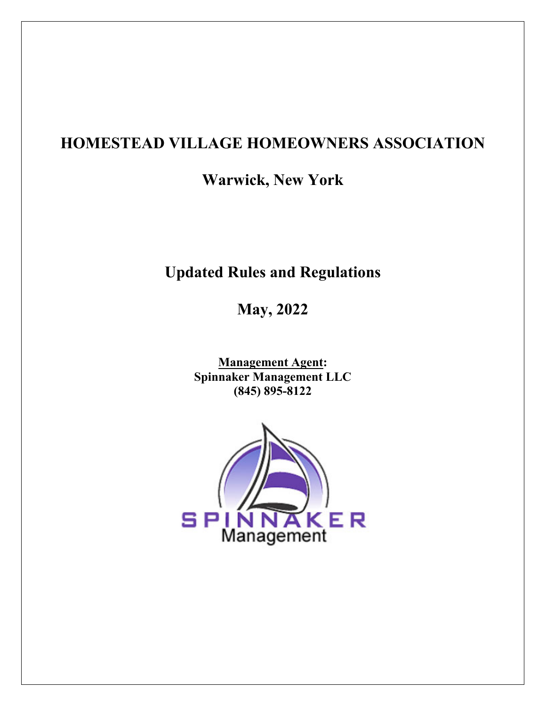# **HOMESTEAD VILLAGE HOMEOWNERS ASSOCIATION**

**Warwick, New York** 

# **Updated Rules and Regulations**

**May, 2022** 

**Management Agent: Spinnaker Management LLC (845) 895-8122** 

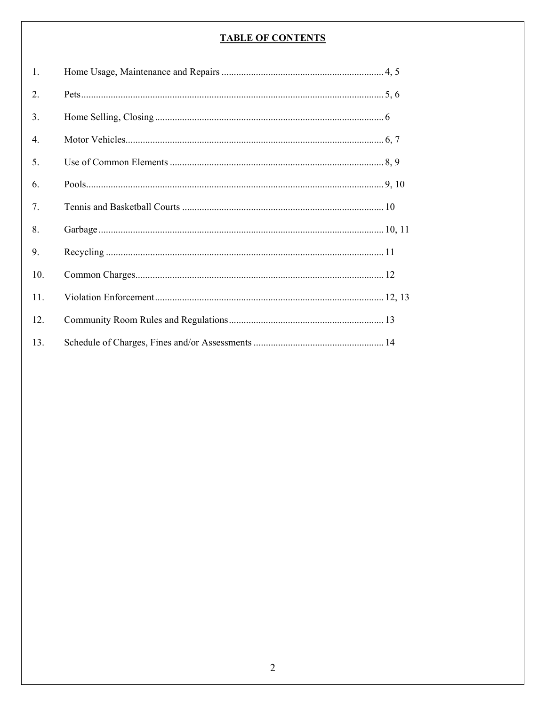# **TABLE OF CONTENTS**

| 1.  |  |
|-----|--|
| 2.  |  |
| 3.  |  |
| 4.  |  |
| 5.  |  |
| 6.  |  |
| 7.  |  |
| 8.  |  |
| 9.  |  |
| 10. |  |
| 11. |  |
| 12. |  |
| 13. |  |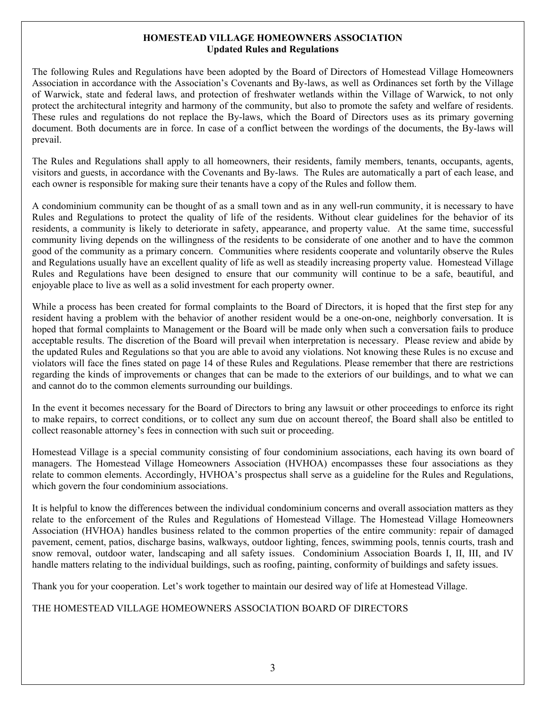#### **HOMESTEAD VILLAGE HOMEOWNERS ASSOCIATION Updated Rules and Regulations**

The following Rules and Regulations have been adopted by the Board of Directors of Homestead Village Homeowners Association in accordance with the Association's Covenants and By-laws, as well as Ordinances set forth by the Village of Warwick, state and federal laws, and protection of freshwater wetlands within the Village of Warwick, to not only protect the architectural integrity and harmony of the community, but also to promote the safety and welfare of residents. These rules and regulations do not replace the By-laws, which the Board of Directors uses as its primary governing document. Both documents are in force. In case of a conflict between the wordings of the documents, the By-laws will prevail.

The Rules and Regulations shall apply to all homeowners, their residents, family members, tenants, occupants, agents, visitors and guests, in accordance with the Covenants and By-laws. The Rules are automatically a part of each lease, and each owner is responsible for making sure their tenants have a copy of the Rules and follow them.

A condominium community can be thought of as a small town and as in any well-run community, it is necessary to have Rules and Regulations to protect the quality of life of the residents. Without clear guidelines for the behavior of its residents, a community is likely to deteriorate in safety, appearance, and property value. At the same time, successful community living depends on the willingness of the residents to be considerate of one another and to have the common good of the community as a primary concern. Communities where residents cooperate and voluntarily observe the Rules and Regulations usually have an excellent quality of life as well as steadily increasing property value. Homestead Village Rules and Regulations have been designed to ensure that our community will continue to be a safe, beautiful, and enjoyable place to live as well as a solid investment for each property owner.

While a process has been created for formal complaints to the Board of Directors, it is hoped that the first step for any resident having a problem with the behavior of another resident would be a one-on-one, neighborly conversation. It is hoped that formal complaints to Management or the Board will be made only when such a conversation fails to produce acceptable results. The discretion of the Board will prevail when interpretation is necessary. Please review and abide by the updated Rules and Regulations so that you are able to avoid any violations. Not knowing these Rules is no excuse and violators will face the fines stated on page 14 of these Rules and Regulations. Please remember that there are restrictions regarding the kinds of improvements or changes that can be made to the exteriors of our buildings, and to what we can and cannot do to the common elements surrounding our buildings.

In the event it becomes necessary for the Board of Directors to bring any lawsuit or other proceedings to enforce its right to make repairs, to correct conditions, or to collect any sum due on account thereof, the Board shall also be entitled to collect reasonable attorney's fees in connection with such suit or proceeding.

Homestead Village is a special community consisting of four condominium associations, each having its own board of managers. The Homestead Village Homeowners Association (HVHOA) encompasses these four associations as they relate to common elements. Accordingly, HVHOA's prospectus shall serve as a guideline for the Rules and Regulations, which govern the four condominium associations.

It is helpful to know the differences between the individual condominium concerns and overall association matters as they relate to the enforcement of the Rules and Regulations of Homestead Village. The Homestead Village Homeowners Association (HVHOA) handles business related to the common properties of the entire community: repair of damaged pavement, cement, patios, discharge basins, walkways, outdoor lighting, fences, swimming pools, tennis courts, trash and snow removal, outdoor water, landscaping and all safety issues. Condominium Association Boards I, II, III, and IV handle matters relating to the individual buildings, such as roofing, painting, conformity of buildings and safety issues.

Thank you for your cooperation. Let's work together to maintain our desired way of life at Homestead Village.

THE HOMESTEAD VILLAGE HOMEOWNERS ASSOCIATION BOARD OF DIRECTORS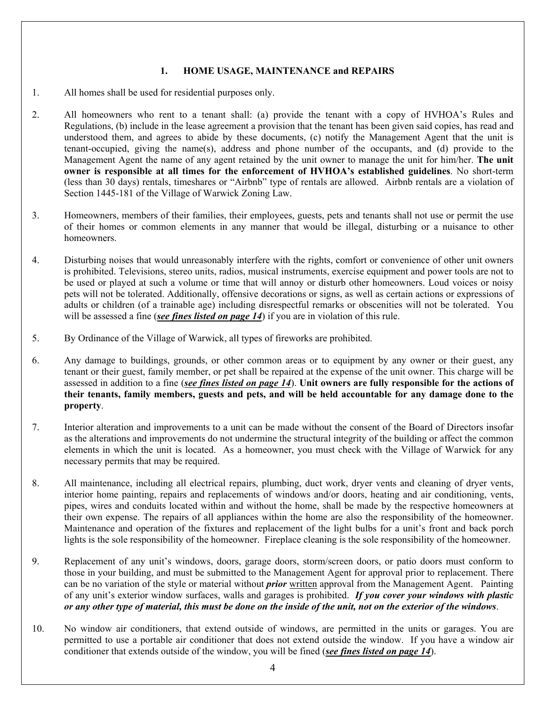#### **1. HOME USAGE, MAINTENANCE and REPAIRS**

- 1. All homes shall be used for residential purposes only.
- 2. All homeowners who rent to a tenant shall: (a) provide the tenant with a copy of HVHOA's Rules and Regulations, (b) include in the lease agreement a provision that the tenant has been given said copies, has read and understood them, and agrees to abide by these documents, (c) notify the Management Agent that the unit is tenant-occupied, giving the name(s), address and phone number of the occupants, and (d) provide to the Management Agent the name of any agent retained by the unit owner to manage the unit for him/her. **The unit owner is responsible at all times for the enforcement of HVHOA's established guidelines**. No short-term (less than 30 days) rentals, timeshares or "Airbnb" type of rentals are allowed. Airbnb rentals are a violation of Section 1445-181 of the Village of Warwick Zoning Law.
- 3. Homeowners, members of their families, their employees, guests, pets and tenants shall not use or permit the use of their homes or common elements in any manner that would be illegal, disturbing or a nuisance to other homeowners.
- 4. Disturbing noises that would unreasonably interfere with the rights, comfort or convenience of other unit owners is prohibited. Televisions, stereo units, radios, musical instruments, exercise equipment and power tools are not to be used or played at such a volume or time that will annoy or disturb other homeowners. Loud voices or noisy pets will not be tolerated. Additionally, offensive decorations or signs, as well as certain actions or expressions of adults or children (of a trainable age) including disrespectful remarks or obscenities will not be tolerated. You will be assessed a fine *(see fines listed on page 14*) if you are in violation of this rule.
- 5. By Ordinance of the Village of Warwick, all types of fireworks are prohibited.
- 6. Any damage to buildings, grounds, or other common areas or to equipment by any owner or their guest, any tenant or their guest, family member, or pet shall be repaired at the expense of the unit owner. This charge will be assessed in addition to a fine (*see fines listed on page 14*). **Unit owners are fully responsible for the actions of their tenants, family members, guests and pets, and will be held accountable for any damage done to the property**.
- 7. Interior alteration and improvements to a unit can be made without the consent of the Board of Directors insofar as the alterations and improvements do not undermine the structural integrity of the building or affect the common elements in which the unit is located. As a homeowner, you must check with the Village of Warwick for any necessary permits that may be required.
- 8. All maintenance, including all electrical repairs, plumbing, duct work, dryer vents and cleaning of dryer vents, interior home painting, repairs and replacements of windows and/or doors, heating and air conditioning, vents, pipes, wires and conduits located within and without the home, shall be made by the respective homeowners at their own expense. The repairs of all appliances within the home are also the responsibility of the homeowner. Maintenance and operation of the fixtures and replacement of the light bulbs for a unit's front and back porch lights is the sole responsibility of the homeowner. Fireplace cleaning is the sole responsibility of the homeowner.
- 9. Replacement of any unit's windows, doors, garage doors, storm/screen doors, or patio doors must conform to those in your building, and must be submitted to the Management Agent for approval prior to replacement. There can be no variation of the style or material without *prior* written approval from the Management Agent. Painting of any unit's exterior window surfaces, walls and garages is prohibited. *If you cover your windows with plastic or any other type of material, this must be done on the inside of the unit, not on the exterior of the windows*.
- 10. No window air conditioners, that extend outside of windows, are permitted in the units or garages. You are permitted to use a portable air conditioner that does not extend outside the window. If you have a window air conditioner that extends outside of the window, you will be fined (*see fines listed on page 14*).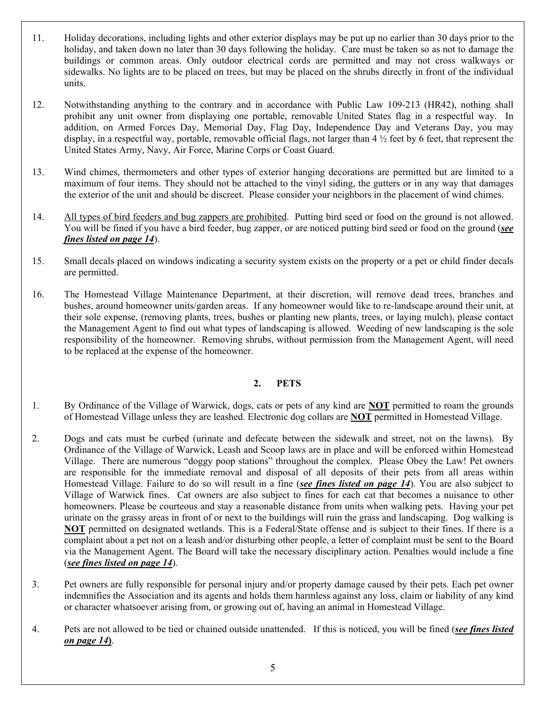- 11. Holiday decorations, including lights and other exterior displays may be put up no earlier than 30 days prior to the holiday, and taken down no later than 30 days following the holiday. Care must be taken so as not to damage the buildings or common areas. Only outdoor electrical cords are permitted and may not cross walkways or sidewalks. No lights are to be placed on trees, but may be placed on the shrubs directly in front of the individual units.
- 12. Notwithstanding anything to the contrary and in accordance with Public Law 109-213 (HR42), nothing shall prohibit any unit owner from displaying one portable, removable United States flag in a respectful way. In addition, on Armed Forces Day, Memorial Day, Flag Day, Independence Day and Veterans Day, you may display, in a respectful way, portable, removable official flags, not larger than  $4\frac{1}{2}$  feet by 6 feet, that represent the United States Army, Navy, Air Force, Marine Corps or Coast Guard.
- 13. Wind chimes, thermometers and other types of exterior hanging decorations are permitted but are limited to a maximum of four items. They should not be attached to the vinyl siding, the gutters or in any way that damages the exterior of the unit and should be discreet. Please consider your neighbors in the placement of wind chimes.
- 14. All types of bird feeders and bug zappers are prohibited. Putting bird seed or food on the ground is not allowed. You will be fined if you have a bird feeder, bug zapper, or are noticed putting bird seed or food on the ground (*see fines listed on page 14*).
- 15. Small decals placed on windows indicating a security system exists on the property or a pet or child finder decals are permitted.
- 16. The Homestead Village Maintenance Department, at their discretion, will remove dead trees, branches and bushes, around homeowner units/garden areas. If any homeowner would like to re-landscape around their unit, at their sole expense, (removing plants, trees, bushes or planting new plants, trees, or laying mulch), please contact the Management Agent to find out what types of landscaping is allowed. Weeding of new landscaping is the sole responsibility of the homeowner. Removing shrubs, without permission from the Management Agent, will need to be replaced at the expense of the homeowner.

## **2. PETS**

- 1. By Ordinance of the Village of Warwick, dogs, cats or pets of any kind are **NOT** permitted to roam the grounds of Homestead Village unless they are leashed. Electronic dog collars are **NOT** permitted in Homestead Village.
- 2. Dogs and cats must be curbed (urinate and defecate between the sidewalk and street, not on the lawns). By Ordinance of the Village of Warwick, Leash and Scoop laws are in place and will be enforced within Homestead Village. There are numerous "doggy poop stations" throughout the complex. Please Obey the Law! Pet owners are responsible for the immediate removal and disposal of all deposits of their pets from all areas within Homestead Village. Failure to do so will result in a fine (*see fines listed on page 14*). You are also subject to Village of Warwick fines. Cat owners are also subject to fines for each cat that becomes a nuisance to other homeowners. Please be courteous and stay a reasonable distance from units when walking pets. Having your pet urinate on the grassy areas in front of or next to the buildings will ruin the grass and landscaping. Dog walking is **NOT** permitted on designated wetlands. This is a Federal/State offense and is subject to their fines. If there is a complaint about a pet not on a leash and/or disturbing other people, a letter of complaint must be sent to the Board via the Management Agent. The Board will take the necessary disciplinary action. Penalties would include a fine (*see fines listed on page 14*).
- 3. Pet owners are fully responsible for personal injury and/or property damage caused by their pets. Each pet owner indemnifies the Association and its agents and holds them harmless against any loss, claim or liability of any kind or character whatsoever arising from, or growing out of, having an animal in Homestead Village.
- 4. Pets are not allowed to be tied or chained outside unattended. If this is noticed, you will be fined (*see fines listed on page 14***)**.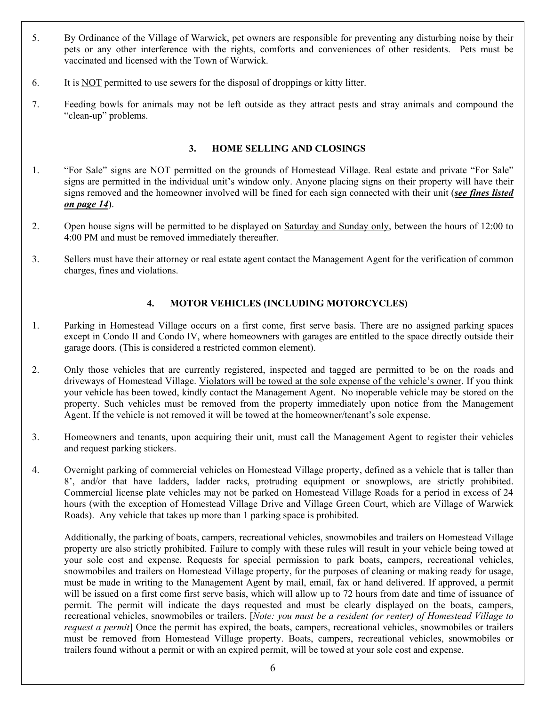- 5. By Ordinance of the Village of Warwick, pet owners are responsible for preventing any disturbing noise by their pets or any other interference with the rights, comforts and conveniences of other residents. Pets must be vaccinated and licensed with the Town of Warwick.
- 6. It is NOT permitted to use sewers for the disposal of droppings or kitty litter.
- 7. Feeding bowls for animals may not be left outside as they attract pests and stray animals and compound the "clean-up" problems.

#### **3. HOME SELLING AND CLOSINGS**

- 1. "For Sale" signs are NOT permitted on the grounds of Homestead Village. Real estate and private "For Sale" signs are permitted in the individual unit's window only. Anyone placing signs on their property will have their signs removed and the homeowner involved will be fined for each sign connected with their unit (*see fines listed on page 14*).
- 2. Open house signs will be permitted to be displayed on Saturday and Sunday only, between the hours of 12:00 to 4:00 PM and must be removed immediately thereafter.
- 3. Sellers must have their attorney or real estate agent contact the Management Agent for the verification of common charges, fines and violations.

## **4. MOTOR VEHICLES (INCLUDING MOTORCYCLES)**

- 1. Parking in Homestead Village occurs on a first come, first serve basis. There are no assigned parking spaces except in Condo II and Condo IV, where homeowners with garages are entitled to the space directly outside their garage doors. (This is considered a restricted common element).
- 2. Only those vehicles that are currently registered, inspected and tagged are permitted to be on the roads and driveways of Homestead Village. Violators will be towed at the sole expense of the vehicle's owner. If you think your vehicle has been towed, kindly contact the Management Agent. No inoperable vehicle may be stored on the property. Such vehicles must be removed from the property immediately upon notice from the Management Agent. If the vehicle is not removed it will be towed at the homeowner/tenant's sole expense.
- 3. Homeowners and tenants, upon acquiring their unit, must call the Management Agent to register their vehicles and request parking stickers.
- 4. Overnight parking of commercial vehicles on Homestead Village property, defined as a vehicle that is taller than 8', and/or that have ladders, ladder racks, protruding equipment or snowplows, are strictly prohibited. Commercial license plate vehicles may not be parked on Homestead Village Roads for a period in excess of 24 hours (with the exception of Homestead Village Drive and Village Green Court, which are Village of Warwick Roads). Any vehicle that takes up more than 1 parking space is prohibited.

Additionally, the parking of boats, campers, recreational vehicles, snowmobiles and trailers on Homestead Village property are also strictly prohibited. Failure to comply with these rules will result in your vehicle being towed at your sole cost and expense. Requests for special permission to park boats, campers, recreational vehicles, snowmobiles and trailers on Homestead Village property, for the purposes of cleaning or making ready for usage, must be made in writing to the Management Agent by mail, email, fax or hand delivered. If approved, a permit will be issued on a first come first serve basis, which will allow up to 72 hours from date and time of issuance of permit. The permit will indicate the days requested and must be clearly displayed on the boats, campers, recreational vehicles, snowmobiles or trailers. [*Note: you must be a resident (or renter) of Homestead Village to request a permit*] Once the permit has expired, the boats, campers, recreational vehicles, snowmobiles or trailers must be removed from Homestead Village property. Boats, campers, recreational vehicles, snowmobiles or trailers found without a permit or with an expired permit, will be towed at your sole cost and expense.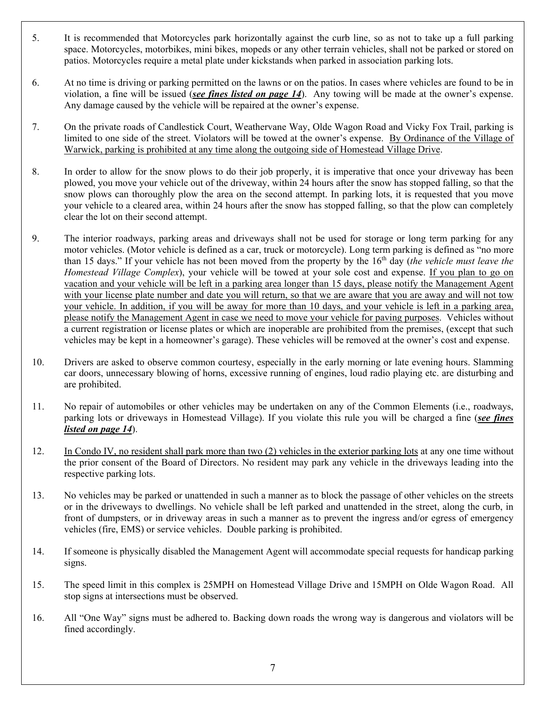- 5. It is recommended that Motorcycles park horizontally against the curb line, so as not to take up a full parking space. Motorcycles, motorbikes, mini bikes, mopeds or any other terrain vehicles, shall not be parked or stored on patios. Motorcycles require a metal plate under kickstands when parked in association parking lots.
- 6. At no time is driving or parking permitted on the lawns or on the patios. In cases where vehicles are found to be in violation, a fine will be issued (*see fines listed on page 14*). Any towing will be made at the owner's expense. Any damage caused by the vehicle will be repaired at the owner's expense.
- 7. On the private roads of Candlestick Court, Weathervane Way, Olde Wagon Road and Vicky Fox Trail, parking is limited to one side of the street. Violators will be towed at the owner's expense. By Ordinance of the Village of Warwick, parking is prohibited at any time along the outgoing side of Homestead Village Drive.
- 8. In order to allow for the snow plows to do their job properly, it is imperative that once your driveway has been plowed, you move your vehicle out of the driveway, within 24 hours after the snow has stopped falling, so that the snow plows can thoroughly plow the area on the second attempt. In parking lots, it is requested that you move your vehicle to a cleared area, within 24 hours after the snow has stopped falling, so that the plow can completely clear the lot on their second attempt.
- 9. The interior roadways, parking areas and driveways shall not be used for storage or long term parking for any motor vehicles. (Motor vehicle is defined as a car, truck or motorcycle). Long term parking is defined as "no more than 15 days." If your vehicle has not been moved from the property by the 16<sup>th</sup> day (*the vehicle must leave the Homestead Village Complex*), your vehicle will be towed at your sole cost and expense. If you plan to go on vacation and your vehicle will be left in a parking area longer than 15 days, please notify the Management Agent with your license plate number and date you will return, so that we are aware that you are away and will not tow your vehicle. In addition, if you will be away for more than 10 days, and your vehicle is left in a parking area, please notify the Management Agent in case we need to move your vehicle for paving purposes. Vehicles without a current registration or license plates or which are inoperable are prohibited from the premises, (except that such vehicles may be kept in a homeowner's garage). These vehicles will be removed at the owner's cost and expense.
- 10. Drivers are asked to observe common courtesy, especially in the early morning or late evening hours. Slamming car doors, unnecessary blowing of horns, excessive running of engines, loud radio playing etc. are disturbing and are prohibited.
- 11. No repair of automobiles or other vehicles may be undertaken on any of the Common Elements (i.e., roadways, parking lots or driveways in Homestead Village). If you violate this rule you will be charged a fine (*see fines listed on page 14*).
- 12. In Condo IV, no resident shall park more than two (2) vehicles in the exterior parking lots at any one time without the prior consent of the Board of Directors. No resident may park any vehicle in the driveways leading into the respective parking lots.
- 13. No vehicles may be parked or unattended in such a manner as to block the passage of other vehicles on the streets or in the driveways to dwellings. No vehicle shall be left parked and unattended in the street, along the curb, in front of dumpsters, or in driveway areas in such a manner as to prevent the ingress and/or egress of emergency vehicles (fire, EMS) or service vehicles. Double parking is prohibited.
- 14. If someone is physically disabled the Management Agent will accommodate special requests for handicap parking signs.
- 15. The speed limit in this complex is 25MPH on Homestead Village Drive and 15MPH on Olde Wagon Road. All stop signs at intersections must be observed.
- 16. All "One Way" signs must be adhered to. Backing down roads the wrong way is dangerous and violators will be fined accordingly.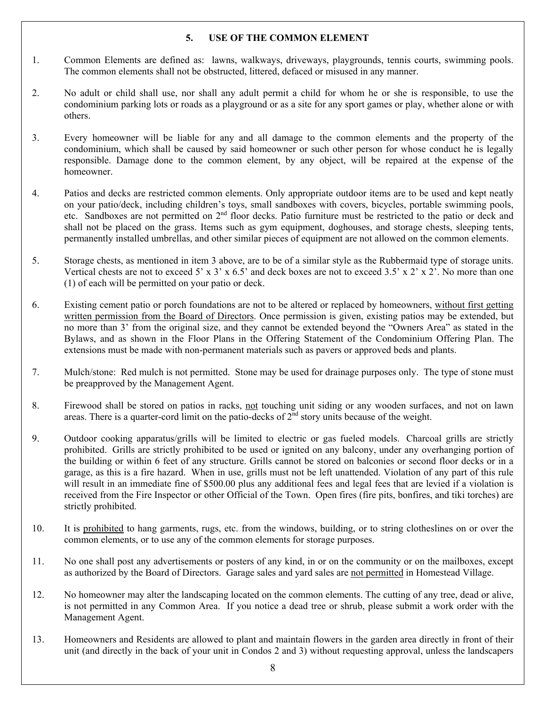#### **5. USE OF THE COMMON ELEMENT**

- 1. Common Elements are defined as: lawns, walkways, driveways, playgrounds, tennis courts, swimming pools. The common elements shall not be obstructed, littered, defaced or misused in any manner.
- 2. No adult or child shall use, nor shall any adult permit a child for whom he or she is responsible, to use the condominium parking lots or roads as a playground or as a site for any sport games or play, whether alone or with others.
- 3. Every homeowner will be liable for any and all damage to the common elements and the property of the condominium, which shall be caused by said homeowner or such other person for whose conduct he is legally responsible. Damage done to the common element, by any object, will be repaired at the expense of the homeowner.
- 4. Patios and decks are restricted common elements. Only appropriate outdoor items are to be used and kept neatly on your patio/deck, including children's toys, small sandboxes with covers, bicycles, portable swimming pools, etc. Sandboxes are not permitted on 2<sup>nd</sup> floor decks. Patio furniture must be restricted to the patio or deck and shall not be placed on the grass. Items such as gym equipment, doghouses, and storage chests, sleeping tents, permanently installed umbrellas, and other similar pieces of equipment are not allowed on the common elements.
- 5. Storage chests, as mentioned in item 3 above, are to be of a similar style as the Rubbermaid type of storage units. Vertical chests are not to exceed 5' x 3' x 6.5' and deck boxes are not to exceed 3.5' x 2' x 2'. No more than one (1) of each will be permitted on your patio or deck.
- 6. Existing cement patio or porch foundations are not to be altered or replaced by homeowners, without first getting written permission from the Board of Directors. Once permission is given, existing patios may be extended, but no more than 3' from the original size, and they cannot be extended beyond the "Owners Area" as stated in the Bylaws, and as shown in the Floor Plans in the Offering Statement of the Condominium Offering Plan. The extensions must be made with non-permanent materials such as pavers or approved beds and plants.
- 7. Mulch/stone: Red mulch is not permitted. Stone may be used for drainage purposes only. The type of stone must be preapproved by the Management Agent.
- 8. Firewood shall be stored on patios in racks, not touching unit siding or any wooden surfaces, and not on lawn areas. There is a quarter-cord limit on the patio-decks of  $2<sup>nd</sup>$  story units because of the weight.
- 9. Outdoor cooking apparatus/grills will be limited to electric or gas fueled models. Charcoal grills are strictly prohibited. Grills are strictly prohibited to be used or ignited on any balcony, under any overhanging portion of the building or within 6 feet of any structure. Grills cannot be stored on balconies or second floor decks or in a garage, as this is a fire hazard. When in use, grills must not be left unattended. Violation of any part of this rule will result in an immediate fine of \$500.00 plus any additional fees and legal fees that are levied if a violation is received from the Fire Inspector or other Official of the Town. Open fires (fire pits, bonfires, and tiki torches) are strictly prohibited.
- 10. It is prohibited to hang garments, rugs, etc. from the windows, building, or to string clotheslines on or over the common elements, or to use any of the common elements for storage purposes.
- 11. No one shall post any advertisements or posters of any kind, in or on the community or on the mailboxes, except as authorized by the Board of Directors. Garage sales and yard sales are not permitted in Homestead Village.
- 12. No homeowner may alter the landscaping located on the common elements. The cutting of any tree, dead or alive, is not permitted in any Common Area. If you notice a dead tree or shrub, please submit a work order with the Management Agent.
- 13. Homeowners and Residents are allowed to plant and maintain flowers in the garden area directly in front of their unit (and directly in the back of your unit in Condos 2 and 3) without requesting approval, unless the landscapers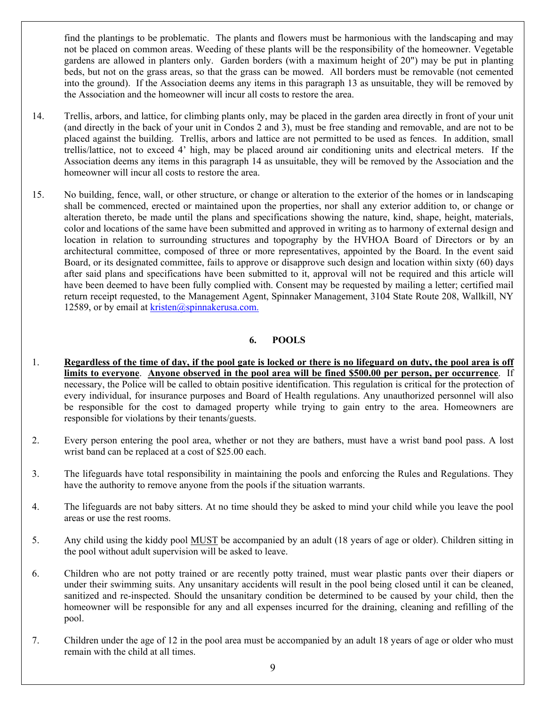find the plantings to be problematic. The plants and flowers must be harmonious with the landscaping and may not be placed on common areas. Weeding of these plants will be the responsibility of the homeowner. Vegetable gardens are allowed in planters only. Garden borders (with a maximum height of 20") may be put in planting beds, but not on the grass areas, so that the grass can be mowed. All borders must be removable (not cemented into the ground). If the Association deems any items in this paragraph 13 as unsuitable, they will be removed by the Association and the homeowner will incur all costs to restore the area.

- 14. Trellis, arbors, and lattice, for climbing plants only, may be placed in the garden area directly in front of your unit (and directly in the back of your unit in Condos 2 and 3), must be free standing and removable, and are not to be placed against the building. Trellis, arbors and lattice are not permitted to be used as fences. In addition, small trellis/lattice, not to exceed 4' high, may be placed around air conditioning units and electrical meters. If the Association deems any items in this paragraph 14 as unsuitable, they will be removed by the Association and the homeowner will incur all costs to restore the area.
- 15. No building, fence, wall, or other structure, or change or alteration to the exterior of the homes or in landscaping shall be commenced, erected or maintained upon the properties, nor shall any exterior addition to, or change or alteration thereto, be made until the plans and specifications showing the nature, kind, shape, height, materials, color and locations of the same have been submitted and approved in writing as to harmony of external design and location in relation to surrounding structures and topography by the HVHOA Board of Directors or by an architectural committee, composed of three or more representatives, appointed by the Board. In the event said Board, or its designated committee, fails to approve or disapprove such design and location within sixty (60) days after said plans and specifications have been submitted to it, approval will not be required and this article will have been deemed to have been fully complied with. Consent may be requested by mailing a letter; certified mail return receipt requested, to the Management Agent, Spinnaker Management, 3104 State Route 208, Wallkill, NY 12589, or by email at  $kristen@spinnakerusa.com$ .

#### **6. POOLS**

- 1. **Regardless of the time of day, if the pool gate is locked or there is no lifeguard on duty, the pool area is off limits to everyone**. **Anyone observed in the pool area will be fined \$500.00 per person, per occurrence**. If necessary, the Police will be called to obtain positive identification. This regulation is critical for the protection of every individual, for insurance purposes and Board of Health regulations. Any unauthorized personnel will also be responsible for the cost to damaged property while trying to gain entry to the area. Homeowners are responsible for violations by their tenants/guests.
- 2. Every person entering the pool area, whether or not they are bathers, must have a wrist band pool pass. A lost wrist band can be replaced at a cost of \$25.00 each.
- 3. The lifeguards have total responsibility in maintaining the pools and enforcing the Rules and Regulations. They have the authority to remove anyone from the pools if the situation warrants.
- 4. The lifeguards are not baby sitters. At no time should they be asked to mind your child while you leave the pool areas or use the rest rooms.
- 5. Any child using the kiddy pool MUST be accompanied by an adult (18 years of age or older). Children sitting in the pool without adult supervision will be asked to leave.
- 6. Children who are not potty trained or are recently potty trained, must wear plastic pants over their diapers or under their swimming suits. Any unsanitary accidents will result in the pool being closed until it can be cleaned, sanitized and re-inspected. Should the unsanitary condition be determined to be caused by your child, then the homeowner will be responsible for any and all expenses incurred for the draining, cleaning and refilling of the pool.
- 7. Children under the age of 12 in the pool area must be accompanied by an adult 18 years of age or older who must remain with the child at all times.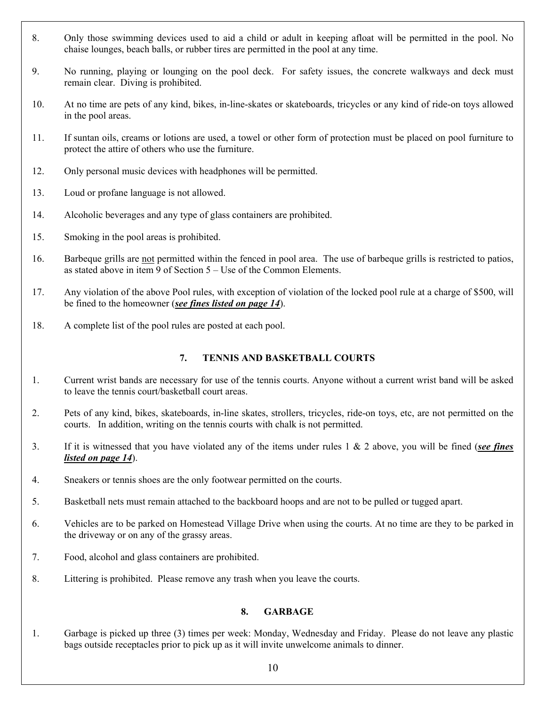- 8. Only those swimming devices used to aid a child or adult in keeping afloat will be permitted in the pool. No chaise lounges, beach balls, or rubber tires are permitted in the pool at any time.
- 9. No running, playing or lounging on the pool deck. For safety issues, the concrete walkways and deck must remain clear. Diving is prohibited.
- 10. At no time are pets of any kind, bikes, in-line-skates or skateboards, tricycles or any kind of ride-on toys allowed in the pool areas.
- 11. If suntan oils, creams or lotions are used, a towel or other form of protection must be placed on pool furniture to protect the attire of others who use the furniture.
- 12. Only personal music devices with headphones will be permitted.
- 13. Loud or profane language is not allowed.
- 14. Alcoholic beverages and any type of glass containers are prohibited.
- 15. Smoking in the pool areas is prohibited.
- 16. Barbeque grills are not permitted within the fenced in pool area. The use of barbeque grills is restricted to patios, as stated above in item 9 of Section 5 – Use of the Common Elements.
- 17. Any violation of the above Pool rules, with exception of violation of the locked pool rule at a charge of \$500, will be fined to the homeowner (*see fines listed on page 14*).
- 18. A complete list of the pool rules are posted at each pool.

# **7. TENNIS AND BASKETBALL COURTS**

- 1. Current wrist bands are necessary for use of the tennis courts. Anyone without a current wrist band will be asked to leave the tennis court/basketball court areas.
- 2. Pets of any kind, bikes, skateboards, in-line skates, strollers, tricycles, ride-on toys, etc, are not permitted on the courts. In addition, writing on the tennis courts with chalk is not permitted.
- 3. If it is witnessed that you have violated any of the items under rules 1 & 2 above, you will be fined (*see fines listed on page 14*).
- 4. Sneakers or tennis shoes are the only footwear permitted on the courts.
- 5. Basketball nets must remain attached to the backboard hoops and are not to be pulled or tugged apart.
- 6. Vehicles are to be parked on Homestead Village Drive when using the courts. At no time are they to be parked in the driveway or on any of the grassy areas.
- 7. Food, alcohol and glass containers are prohibited.
- 8. Littering is prohibited. Please remove any trash when you leave the courts.

## **8. GARBAGE**

1. Garbage is picked up three (3) times per week: Monday, Wednesday and Friday. Please do not leave any plastic bags outside receptacles prior to pick up as it will invite unwelcome animals to dinner.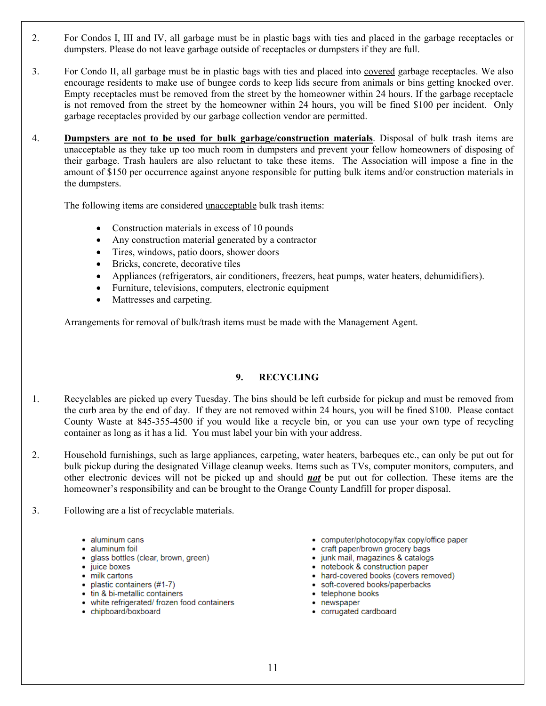- 2. For Condos I, III and IV, all garbage must be in plastic bags with ties and placed in the garbage receptacles or dumpsters. Please do not leave garbage outside of receptacles or dumpsters if they are full.
- 3. For Condo II, all garbage must be in plastic bags with ties and placed into covered garbage receptacles. We also encourage residents to make use of bungee cords to keep lids secure from animals or bins getting knocked over. Empty receptacles must be removed from the street by the homeowner within 24 hours. If the garbage receptacle is not removed from the street by the homeowner within 24 hours, you will be fined \$100 per incident. Only garbage receptacles provided by our garbage collection vendor are permitted.
- 4. **Dumpsters are not to be used for bulk garbage/construction materials**. Disposal of bulk trash items are unacceptable as they take up too much room in dumpsters and prevent your fellow homeowners of disposing of their garbage. Trash haulers are also reluctant to take these items. The Association will impose a fine in the amount of \$150 per occurrence against anyone responsible for putting bulk items and/or construction materials in the dumpsters.

The following items are considered unacceptable bulk trash items:

- Construction materials in excess of 10 pounds
- Any construction material generated by a contractor
- Tires, windows, patio doors, shower doors
- Bricks, concrete, decorative tiles
- Appliances (refrigerators, air conditioners, freezers, heat pumps, water heaters, dehumidifiers).
- Furniture, televisions, computers, electronic equipment
- Mattresses and carpeting.

Arrangements for removal of bulk/trash items must be made with the Management Agent.

#### **9. RECYCLING**

- 1. Recyclables are picked up every Tuesday. The bins should be left curbside for pickup and must be removed from the curb area by the end of day. If they are not removed within 24 hours, you will be fined \$100. Please contact County Waste at 845-355-4500 if you would like a recycle bin, or you can use your own type of recycling container as long as it has a lid. You must label your bin with your address.
- 2. Household furnishings, such as large appliances, carpeting, water heaters, barbeques etc., can only be put out for bulk pickup during the designated Village cleanup weeks. Items such as TVs, computer monitors, computers, and other electronic devices will not be picked up and should *not* be put out for collection. These items are the homeowner's responsibility and can be brought to the Orange County Landfill for proper disposal.
- 3. Following are a list of recyclable materials.
	- · aluminum cans
	- · aluminum foil
	- · glass bottles (clear, brown, green)
	- juice boxes
	- milk cartons
	- plastic containers (#1-7)
	- tin & bi-metallic containers
	- . white refrigerated/ frozen food containers
	- chipboard/boxboard
- computer/photocopy/fax copy/office paper
- craft paper/brown grocery bags
- · junk mail, magazines & catalogs
- notebook & construction paper
- hard-covered books (covers removed)
- · soft-covered books/paperbacks
- telephone books • newspaper
- 
- · corrugated cardboard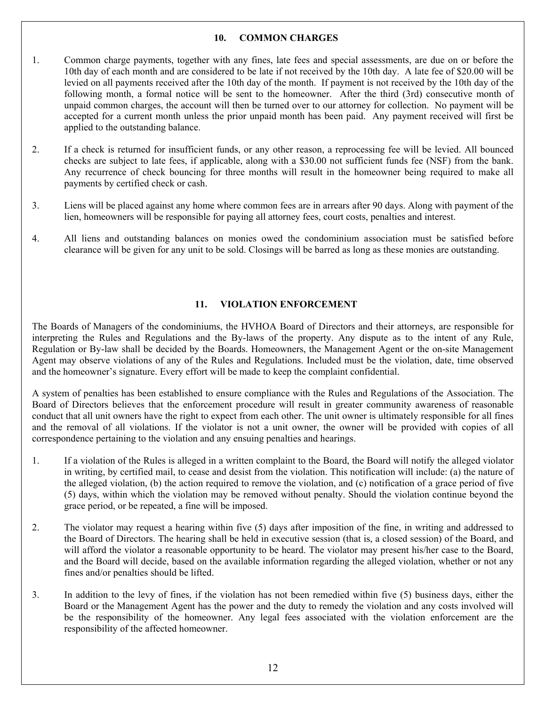#### **10. COMMON CHARGES**

- 1. Common charge payments, together with any fines, late fees and special assessments, are due on or before the 10th day of each month and are considered to be late if not received by the 10th day. A late fee of \$20.00 will be levied on all payments received after the 10th day of the month. If payment is not received by the 10th day of the following month, a formal notice will be sent to the homeowner. After the third (3rd) consecutive month of unpaid common charges, the account will then be turned over to our attorney for collection. No payment will be accepted for a current month unless the prior unpaid month has been paid. Any payment received will first be applied to the outstanding balance.
- 2. If a check is returned for insufficient funds, or any other reason, a reprocessing fee will be levied. All bounced checks are subject to late fees, if applicable, along with a \$30.00 not sufficient funds fee (NSF) from the bank. Any recurrence of check bouncing for three months will result in the homeowner being required to make all payments by certified check or cash.
- 3. Liens will be placed against any home where common fees are in arrears after 90 days. Along with payment of the lien, homeowners will be responsible for paying all attorney fees, court costs, penalties and interest.
- 4. All liens and outstanding balances on monies owed the condominium association must be satisfied before clearance will be given for any unit to be sold. Closings will be barred as long as these monies are outstanding.

## **11. VIOLATION ENFORCEMENT**

The Boards of Managers of the condominiums, the HVHOA Board of Directors and their attorneys, are responsible for interpreting the Rules and Regulations and the By-laws of the property. Any dispute as to the intent of any Rule, Regulation or By-law shall be decided by the Boards. Homeowners, the Management Agent or the on-site Management Agent may observe violations of any of the Rules and Regulations. Included must be the violation, date, time observed and the homeowner's signature. Every effort will be made to keep the complaint confidential.

A system of penalties has been established to ensure compliance with the Rules and Regulations of the Association. The Board of Directors believes that the enforcement procedure will result in greater community awareness of reasonable conduct that all unit owners have the right to expect from each other. The unit owner is ultimately responsible for all fines and the removal of all violations. If the violator is not a unit owner, the owner will be provided with copies of all correspondence pertaining to the violation and any ensuing penalties and hearings.

- 1. If a violation of the Rules is alleged in a written complaint to the Board, the Board will notify the alleged violator in writing, by certified mail, to cease and desist from the violation. This notification will include: (a) the nature of the alleged violation, (b) the action required to remove the violation, and (c) notification of a grace period of five (5) days, within which the violation may be removed without penalty. Should the violation continue beyond the grace period, or be repeated, a fine will be imposed.
- 2. The violator may request a hearing within five (5) days after imposition of the fine, in writing and addressed to the Board of Directors. The hearing shall be held in executive session (that is, a closed session) of the Board, and will afford the violator a reasonable opportunity to be heard. The violator may present his/her case to the Board, and the Board will decide, based on the available information regarding the alleged violation, whether or not any fines and/or penalties should be lifted.
- 3. In addition to the levy of fines, if the violation has not been remedied within five (5) business days, either the Board or the Management Agent has the power and the duty to remedy the violation and any costs involved will be the responsibility of the homeowner. Any legal fees associated with the violation enforcement are the responsibility of the affected homeowner.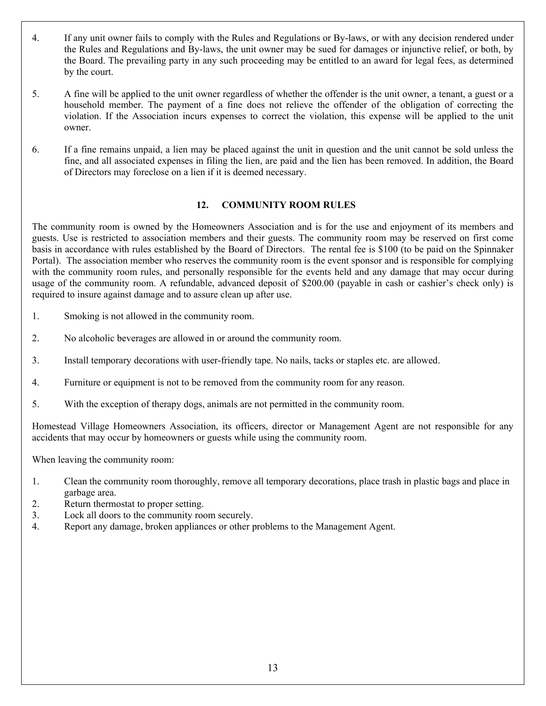- 4. If any unit owner fails to comply with the Rules and Regulations or By-laws, or with any decision rendered under the Rules and Regulations and By-laws, the unit owner may be sued for damages or injunctive relief, or both, by the Board. The prevailing party in any such proceeding may be entitled to an award for legal fees, as determined by the court.
- 5. A fine will be applied to the unit owner regardless of whether the offender is the unit owner, a tenant, a guest or a household member. The payment of a fine does not relieve the offender of the obligation of correcting the violation. If the Association incurs expenses to correct the violation, this expense will be applied to the unit owner.
- 6. If a fine remains unpaid, a lien may be placed against the unit in question and the unit cannot be sold unless the fine, and all associated expenses in filing the lien, are paid and the lien has been removed. In addition, the Board of Directors may foreclose on a lien if it is deemed necessary.

## **12. COMMUNITY ROOM RULES**

The community room is owned by the Homeowners Association and is for the use and enjoyment of its members and guests. Use is restricted to association members and their guests. The community room may be reserved on first come basis in accordance with rules established by the Board of Directors. The rental fee is \$100 (to be paid on the Spinnaker Portal). The association member who reserves the community room is the event sponsor and is responsible for complying with the community room rules, and personally responsible for the events held and any damage that may occur during usage of the community room. A refundable, advanced deposit of \$200.00 (payable in cash or cashier's check only) is required to insure against damage and to assure clean up after use.

- 1. Smoking is not allowed in the community room.
- 2. No alcoholic beverages are allowed in or around the community room.
- 3. Install temporary decorations with user-friendly tape. No nails, tacks or staples etc. are allowed.
- 4. Furniture or equipment is not to be removed from the community room for any reason.
- 5. With the exception of therapy dogs, animals are not permitted in the community room.

Homestead Village Homeowners Association, its officers, director or Management Agent are not responsible for any accidents that may occur by homeowners or guests while using the community room.

When leaving the community room:

- 1. Clean the community room thoroughly, remove all temporary decorations, place trash in plastic bags and place in garbage area.
- 2. Return thermostat to proper setting.
- 3. Lock all doors to the community room securely.
- 4. Report any damage, broken appliances or other problems to the Management Agent.